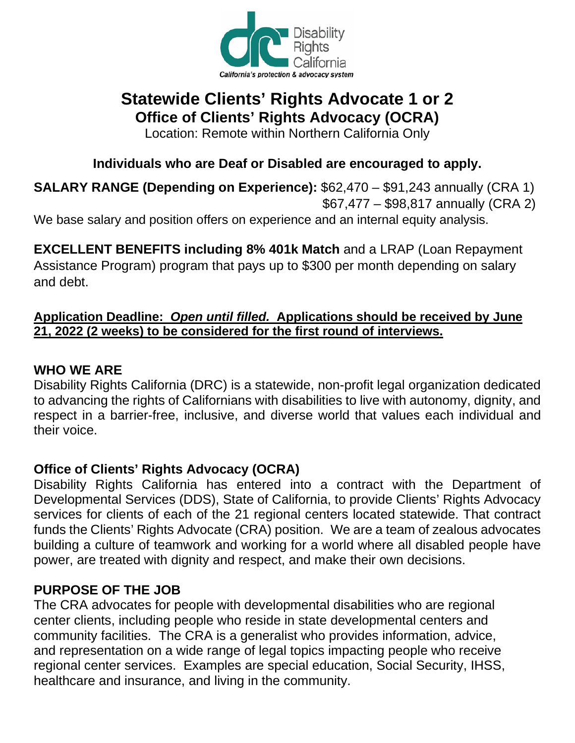

# **Statewide Clients' Rights Advocate 1 or 2 Office of Clients' Rights Advocacy (OCRA)**

Location: Remote within Northern California Only

## **Individuals who are Deaf or Disabled are encouraged to apply.**

**SALARY RANGE (Depending on Experience):** \$62,470 – \$91,243 annually (CRA 1) \$67,477 – \$98,817 annually (CRA 2)

We base salary and position offers on experience and an internal equity analysis.

**EXCELLENT BENEFITS including 8% 401k Match** and a LRAP (Loan Repayment Assistance Program) program that pays up to \$300 per month depending on salary and debt.

### **Application Deadline:** *Open until filled.* **[Applications should be received](http://www.disabilityrightsca.org/Jobs/index.htm) by June 21, 2022 (2 weeks) to be considered for the first round of interviews.**

### **WHO WE ARE**

Disability Rights California (DRC) is a statewide, non-profit legal organization dedicated to advancing the rights of Californians with disabilities to live with autonomy, dignity, and respect in a barrier-free, inclusive, and diverse world that values each individual and their voice.

## **Office of Clients' Rights Advocacy (OCRA)**

Disability Rights California has entered into a contract with the Department of Developmental Services (DDS), State of California, to provide Clients' Rights Advocacy services for clients of each of the 21 regional centers located statewide. That contract funds the Clients' Rights Advocate (CRA) position. We are a team of zealous advocates building a culture of teamwork and working for a world where all disabled people have power, are treated with dignity and respect, and make their own decisions.

## **PURPOSE OF THE JOB**

The CRA advocates for people with developmental disabilities who are regional center clients, including people who reside in state developmental centers and community facilities. The CRA is a generalist who provides information, advice, and representation on a wide range of legal topics impacting people who receive regional center services. Examples are special education, Social Security, IHSS, healthcare and insurance, and living in the community.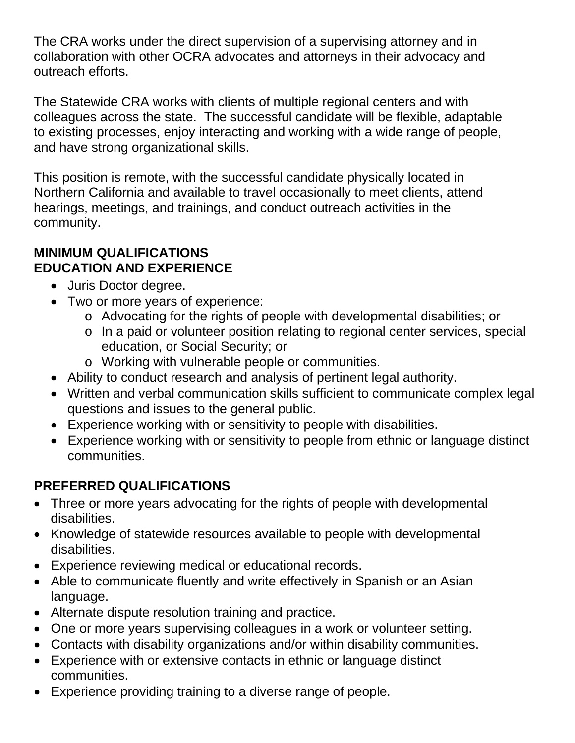The CRA works under the direct supervision of a supervising attorney and in collaboration with other OCRA advocates and attorneys in their advocacy and outreach efforts.

The Statewide CRA works with clients of multiple regional centers and with colleagues across the state. The successful candidate will be flexible, adaptable to existing processes, enjoy interacting and working with a wide range of people, and have strong organizational skills.

This position is remote, with the successful candidate physically located in Northern California and available to travel occasionally to meet clients, attend hearings, meetings, and trainings, and conduct outreach activities in the community.

### **MINIMUM QUALIFICATIONS EDUCATION AND EXPERIENCE**

- Juris Doctor degree.
- Two or more years of experience:
	- o Advocating for the rights of people with developmental disabilities; or
	- o In a paid or volunteer position relating to regional center services, special education, or Social Security; or
	- o Working with vulnerable people or communities.
- Ability to conduct research and analysis of pertinent legal authority.
- Written and verbal communication skills sufficient to communicate complex legal questions and issues to the general public.
- Experience working with or sensitivity to people with disabilities.
- Experience working with or sensitivity to people from ethnic or language distinct communities.

# **PREFERRED QUALIFICATIONS**

- Three or more years advocating for the rights of people with developmental disabilities.
- Knowledge of statewide resources available to people with developmental disabilities.
- Experience reviewing medical or educational records.
- Able to communicate fluently and write effectively in Spanish or an Asian language.
- Alternate dispute resolution training and practice.
- One or more years supervising colleagues in a work or volunteer setting.
- Contacts with disability organizations and/or within disability communities.
- Experience with or extensive contacts in ethnic or language distinct communities.
- Experience providing training to a diverse range of people.